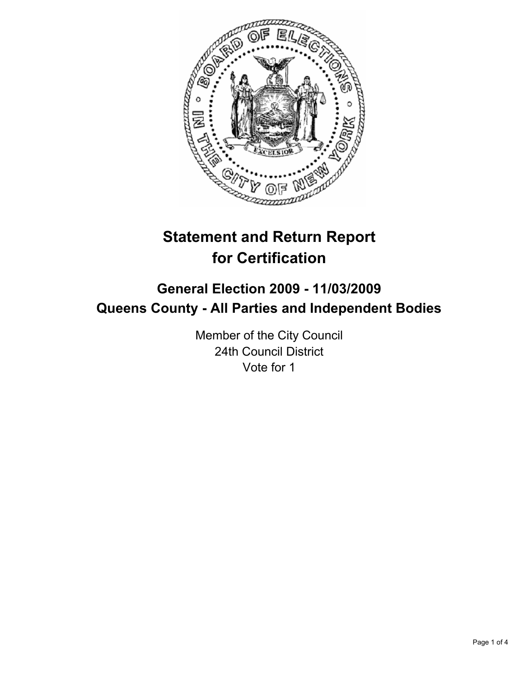

# **Statement and Return Report for Certification**

# **General Election 2009 - 11/03/2009 Queens County - All Parties and Independent Bodies**

Member of the City Council 24th Council District Vote for 1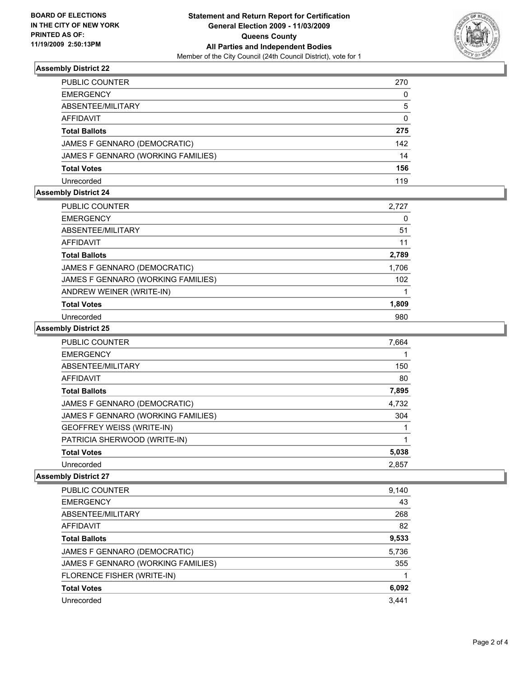

# **Assembly District 22**

| PUBLIC COUNTER                     | 270          |
|------------------------------------|--------------|
| EMERGENCY                          | 0            |
| ABSENTEE/MILITARY                  | 5            |
| AFFIDAVIT                          | $\mathbf{0}$ |
| Total Ballots                      | 275          |
| JAMES F GENNARO (DEMOCRATIC)       | 142          |
| JAMES F GENNARO (WORKING FAMILIES) | 14           |
| Total Votes                        | 156          |
| Unrecorded                         | 119          |

#### **Assembly District 24**

| PUBLIC COUNTER                     | 2,727 |
|------------------------------------|-------|
| <b>EMERGENCY</b>                   | 0     |
| ABSENTEE/MILITARY                  | 51    |
| AFFIDAVIT                          | 11    |
| <b>Total Ballots</b>               | 2,789 |
| JAMES F GENNARO (DEMOCRATIC)       | 1,706 |
| JAMES F GENNARO (WORKING FAMILIES) | 102   |
| ANDREW WEINER (WRITE-IN)           |       |
| <b>Total Votes</b>                 | 1,809 |
| Unrecorded                         | 980   |

# **Assembly District 25**

| <b>PUBLIC COUNTER</b>              | 7,664 |
|------------------------------------|-------|
| <b>EMERGENCY</b>                   |       |
| ABSENTEE/MILITARY                  | 150   |
| AFFIDAVIT                          | 80    |
| <b>Total Ballots</b>               | 7,895 |
| JAMES F GENNARO (DEMOCRATIC)       | 4,732 |
| JAMES F GENNARO (WORKING FAMILIES) | 304   |
| GEOFFREY WEISS (WRITE-IN)          |       |
| PATRICIA SHERWOOD (WRITE-IN)       |       |
| <b>Total Votes</b>                 | 5,038 |
| Unrecorded                         | 2,857 |

#### **Assembly District 27**

| PUBLIC COUNTER                     | 9,140 |
|------------------------------------|-------|
| <b>EMERGENCY</b>                   | 43    |
| ABSENTEE/MILITARY                  | 268   |
| <b>AFFIDAVIT</b>                   | 82    |
| <b>Total Ballots</b>               | 9,533 |
| JAMES F GENNARO (DEMOCRATIC)       | 5,736 |
| JAMES F GENNARO (WORKING FAMILIES) | 355   |
| FLORENCE FISHER (WRITE-IN)         |       |
| <b>Total Votes</b>                 | 6,092 |
| Unrecorded                         | 3,441 |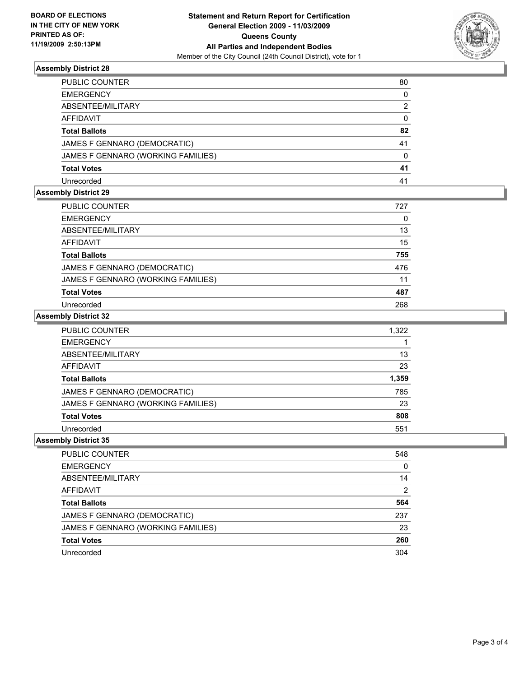

# **Assembly District 28**

| PUBLIC COUNTER                     | 80       |
|------------------------------------|----------|
| EMERGENCY                          | $\Omega$ |
| ABSENTEE/MILITARY                  | 2        |
| AFFIDAVIT                          | 0        |
| Total Ballots                      | 82       |
| JAMES F GENNARO (DEMOCRATIC)       | 41       |
| JAMES F GENNARO (WORKING FAMILIES) | 0        |
| Total Votes                        | 41       |
| Unrecorded                         | 41       |

#### **Assembly District 29**

| PUBLIC COUNTER                     | 727 |
|------------------------------------|-----|
| <b>EMERGENCY</b>                   | 0   |
| ABSENTEE/MILITARY                  | 13  |
| AFFIDAVIT                          | 15  |
| <b>Total Ballots</b>               | 755 |
| JAMES F GENNARO (DEMOCRATIC)       | 476 |
| JAMES F GENNARO (WORKING FAMILIES) | 11  |
| <b>Total Votes</b>                 | 487 |
| Unrecorded                         | 268 |

# **Assembly District 32**

| <b>PUBLIC COUNTER</b>              | 1.322 |
|------------------------------------|-------|
| <b>EMERGENCY</b>                   |       |
| ABSENTEE/MILITARY                  | 13    |
| AFFIDAVIT                          | 23    |
| <b>Total Ballots</b>               | 1,359 |
| JAMES F GENNARO (DEMOCRATIC)       | 785   |
| JAMES F GENNARO (WORKING FAMILIES) | 23    |
| <b>Total Votes</b>                 | 808   |
| Unrecorded                         | 551   |

#### **Assembly District 35**

| <b>PUBLIC COUNTER</b>              | 548 |
|------------------------------------|-----|
| <b>EMERGENCY</b>                   | 0   |
| ABSENTEE/MILITARY                  | 14  |
| AFFIDAVIT                          | 2   |
| <b>Total Ballots</b>               | 564 |
| JAMES F GENNARO (DEMOCRATIC)       | 237 |
| JAMES F GENNARO (WORKING FAMILIES) | 23  |
| <b>Total Votes</b>                 | 260 |
| Unrecorded                         | 304 |